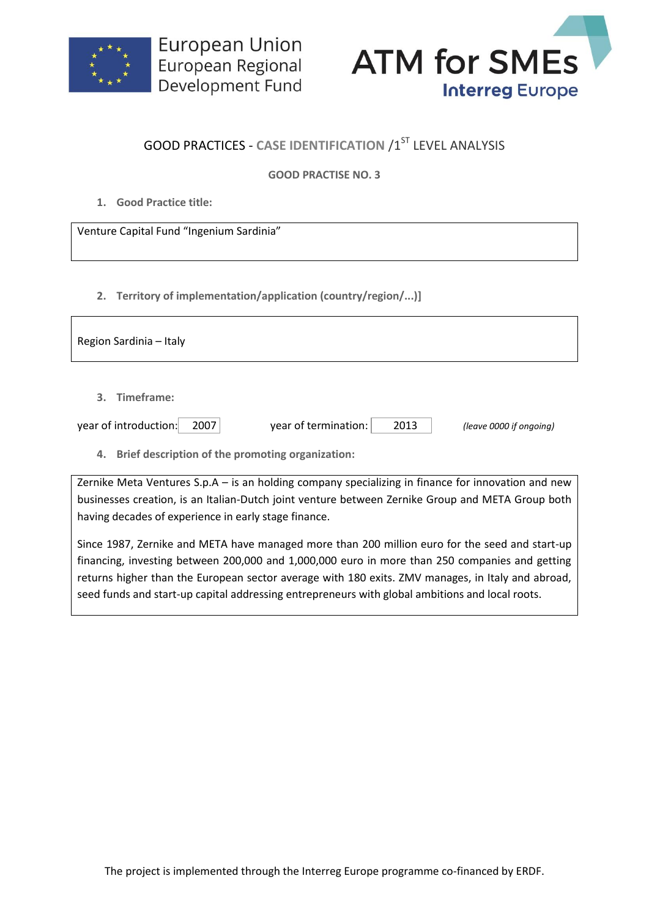



## **GOOD PRACTICES - CASE IDENTIFICATION /1ST LEVEL ANALYSIS**

## **GOOD PRACTISE NO. 3**

**1. Good Practice title:**

Venture Capital Fund "Ingenium Sardinia"

**2. Territory of implementation/application (country/region/...)]**

| Region Sardinia - Italy                                |                              |                         |
|--------------------------------------------------------|------------------------------|-------------------------|
| 3. Timeframe:                                          |                              |                         |
| year of introduction:<br>2007                          | year of termination:<br>2013 | (leave 0000 if ongoing) |
| Brief description of the promoting organization:<br>4. |                              |                         |

Zernike Meta Ventures S.p.A – is an holding company specializing in finance for innovation and new businesses creation, is an Italian-Dutch joint venture between Zernike Group and META Group both having decades of experience in early stage finance.

Since 1987, Zernike and META have managed more than 200 million euro for the seed and start-up financing, investing between 200,000 and 1,000,000 euro in more than 250 companies and getting returns higher than the European sector average with 180 exits. ZMV manages, in Italy and abroad, seed funds and start-up capital addressing entrepreneurs with global ambitions and local roots.